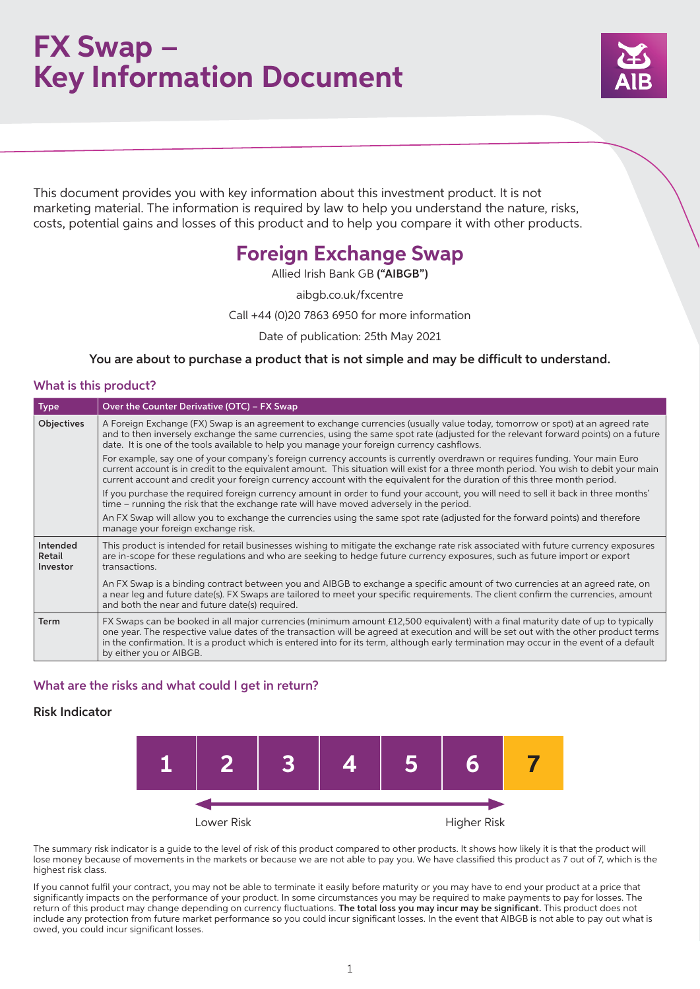## **FX Swap – Key Information Document**



This document provides you with key information about this investment product. It is not marketing material. The information is required by law to help you understand the nature, risks, costs, potential gains and losses of this product and to help you compare it with other products.

## **Foreign Exchange Swap**

Allied Irish Bank GB ("AIBGB")

aibgb.co.uk/fxcentre

Call +44 (0)20 7863 6950 for more information

Date of publication: 25th May 2021

You are about to purchase a product that is not simple and may be difficult to understand.

## What is this product?

| <b>Type</b>                    | Over the Counter Derivative (OTC) - FX Swap                                                                                                                                                                                                                                                                                                                                                                                                    |
|--------------------------------|------------------------------------------------------------------------------------------------------------------------------------------------------------------------------------------------------------------------------------------------------------------------------------------------------------------------------------------------------------------------------------------------------------------------------------------------|
| Objectives                     | A Foreign Exchange (FX) Swap is an agreement to exchange currencies (usually value today, tomorrow or spot) at an agreed rate<br>and to then inversely exchange the same currencies, using the same spot rate (adjusted for the relevant forward points) on a future<br>date. It is one of the tools available to help you manage your foreign currency cashflows.                                                                             |
|                                | For example, say one of your company's foreign currency accounts is currently overdrawn or requires funding. Your main Euro<br>current account is in credit to the equivalent amount. This situation will exist for a three month period. You wish to debit your main<br>current account and credit your foreign currency account with the equivalent for the duration of this three month period.                                             |
|                                | If you purchase the required foreign currency amount in order to fund your account, you will need to sell it back in three months'<br>time – running the risk that the exchange rate will have moved adversely in the period.                                                                                                                                                                                                                  |
|                                | An FX Swap will allow you to exchange the currencies using the same spot rate (adjusted for the forward points) and therefore<br>manage your foreign exchange risk.                                                                                                                                                                                                                                                                            |
| Intended<br>Retail<br>Investor | This product is intended for retail businesses wishing to mitigate the exchange rate risk associated with future currency exposures<br>are in-scope for these regulations and who are seeking to hedge future currency exposures, such as future import or export<br>transactions.                                                                                                                                                             |
|                                | An FX Swap is a binding contract between you and AIBGB to exchange a specific amount of two currencies at an agreed rate, on<br>a near leg and future date(s). FX Swaps are tailored to meet your specific requirements. The client confirm the currencies, amount<br>and both the near and future date(s) required.                                                                                                                           |
| Term                           | FX Swaps can be booked in all major currencies (minimum amount £12,500 equivalent) with a final maturity date of up to typically<br>one year. The respective value dates of the transaction will be agreed at execution and will be set out with the other product terms<br>in the confirmation. It is a product which is entered into for its term, although early termination may occur in the event of a default<br>by either you or AIBGB. |

## What are the risks and what could I get in return?

### Risk Indicator



The summary risk indicator is a guide to the level of risk of this product compared to other products. It shows how likely it is that the product will lose money because of movements in the markets or because we are not able to pay you. We have classified this product as 7 out of 7, which is the highest risk class.

If you cannot fulfil your contract, you may not be able to terminate it easily before maturity or you may have to end your product at a price that significantly impacts on the performance of your product. In some circumstances you may be required to make payments to pay for losses. The return of this product may change depending on currency fluctuations. The total loss you may incur may be significant. This product does not include any protection from future market performance so you could incur significant losses. In the event that AIBGB is not able to pay out what is owed, you could incur significant losses.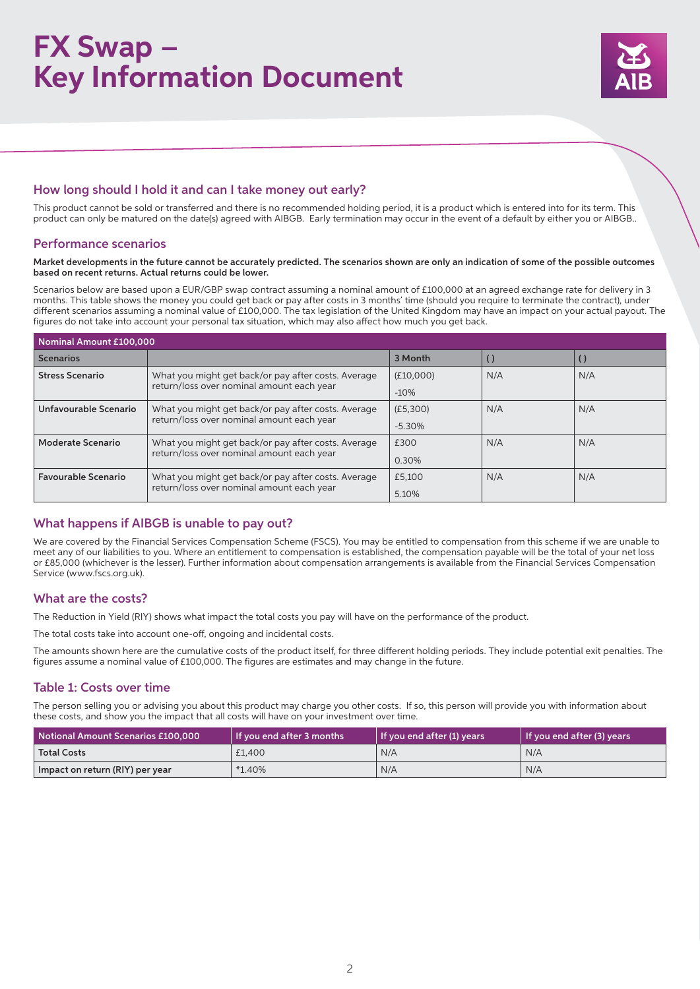# **FX Swap – Key Information Document**



## How long should I hold it and can I take money out early?

This product cannot be sold or transferred and there is no recommended holding period, it is a product which is entered into for its term. This product can only be matured on the date(s) agreed with AIBGB. Early termination may occur in the event of a default by either you or AIBGB..

## Performance scenarios

#### Market developments in the future cannot be accurately predicted. The scenarios shown are only an indication of some of the possible outcomes based on recent returns. Actual returns could be lower.

Scenarios below are based upon a EUR/GBP swap contract assuming a nominal amount of £100,000 at an agreed exchange rate for delivery in 3 months. This table shows the money you could get back or pay after costs in 3 months' time (should you require to terminate the contract), under different scenarios assuming a nominal value of £100,000. The tax legislation of the United Kingdom may have an impact on your actual payout. The figures do not take into account your personal tax situation, which may also affect how much you get back.

| Nominal Amount £100,000    |                                                                                                  |           |     |     |  |  |  |
|----------------------------|--------------------------------------------------------------------------------------------------|-----------|-----|-----|--|--|--|
| <b>Scenarios</b>           |                                                                                                  | 3 Month   |     |     |  |  |  |
| <b>Stress Scenario</b>     | What you might get back/or pay after costs. Average                                              | (E10,000) | N/A | N/A |  |  |  |
|                            | return/loss over nominal amount each year                                                        | $-10%$    |     |     |  |  |  |
| Unfavourable Scenario      | What you might get back/or pay after costs. Average<br>return/loss over nominal amount each year | (E5,300)  | N/A | N/A |  |  |  |
|                            |                                                                                                  | $-5.30%$  |     |     |  |  |  |
| Moderate Scenario          | What you might get back/or pay after costs. Average                                              | £300      | N/A | N/A |  |  |  |
|                            | return/loss over nominal amount each year                                                        | 0.30%     |     |     |  |  |  |
| <b>Favourable Scenario</b> | What you might get back/or pay after costs. Average<br>return/loss over nominal amount each year | £5.100    | N/A | N/A |  |  |  |
|                            |                                                                                                  | 5.10%     |     |     |  |  |  |

## What happens if AIBGB is unable to pay out?

We are covered by the Financial Services Compensation Scheme (FSCS). You may be entitled to compensation from this scheme if we are unable to meet any of our liabilities to you. Where an entitlement to compensation is established, the compensation payable will be the total of your net loss or £85,000 (whichever is the lesser). Further information about compensation arrangements is available from the Financial Services Compensation Service (www.fscs.org.uk).

## What are the costs?

The Reduction in Yield (RIY) shows what impact the total costs you pay will have on the performance of the product.

The total costs take into account one-off, ongoing and incidental costs.

The amounts shown here are the cumulative costs of the product itself, for three different holding periods. They include potential exit penalties. The figures assume a nominal value of £100,000. The figures are estimates and may change in the future.

## Table 1: Costs over time

The person selling you or advising you about this product may charge you other costs. If so, this person will provide you with information about these costs, and show you the impact that all costs will have on your investment over time.

| Notional Amount Scenarios £100,000 | $\vert$ If you end after 3 months | l If you end after (1) years | $\vert$ If you end after (3) years |
|------------------------------------|-----------------------------------|------------------------------|------------------------------------|
| <b>Total Costs</b>                 | £1,400                            | N/A                          | N/A                                |
| Impact on return (RIY) per year    | $*1.40\%$                         | N/A                          | N/A                                |